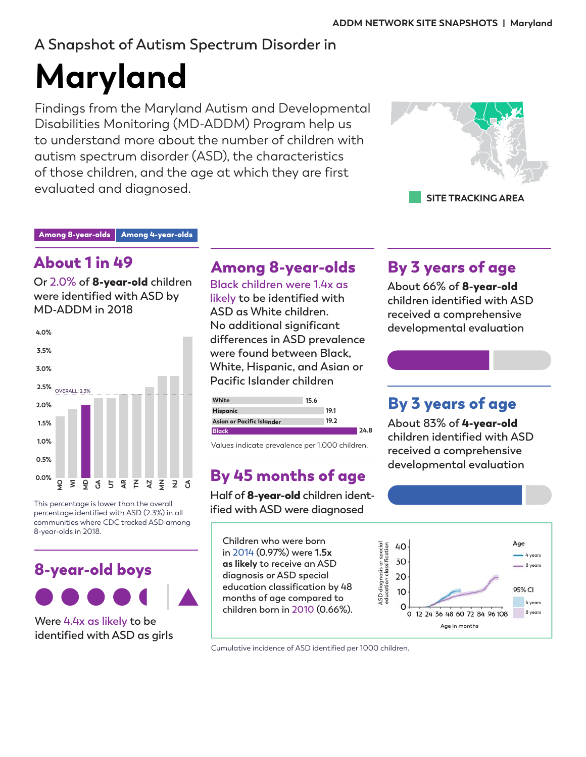# **A Snapshot of Autism Spectrum Disorder in**

# **Maryland**

Findings from the Maryland Autism and Developmental Disabilities Monitoring (MD-ADDM) Program help us to understand more about the number of children with autism spectrum disorder (ASD), the characteristics of those children, and the age at which they are first evaluated and diagnosed.



Among 8-year-olds | Among 4-year-olds

# About 1 in 49

**Or 2.0% of** 8-year-old **children were identified with ASD by MD-ADDM in 2018**



This percentage is lower than the overall percentage identified with ASD (2.3%) in all communities where CDC tracked ASD among 8-year-olds in 2018.



**Were 4.4x as likely to be identified with ASD as girls**

# Among 8-year-olds

**Black children were 1.4x as** 

**likely to be identified with ASD as White children. No additional significant differences in ASD prevalence were found between Black, White, Hispanic, and Asian or Pacific Islander children**

| White                     | 15.6 |  |
|---------------------------|------|--|
| Hispanic                  | 19.1 |  |
| Asian or Pacific Islander | 19.2 |  |
|                           |      |  |

Values indicate prevalence per 1,000 children.

# By 45 months of age

**Half of** 8-year-old **children identified with ASD were diagnosed** 

**Children who were born in 2014 (0.97%) were 1.5x as likely to receive an ASD diagnosis or ASD special education classification by 48 months of age compared to children born in 2010 (0.66%).** 

Cumulative incidence of ASD identified per 1000 children.

# By 3 years of age

**About 66% of** 8-year-old **children identified with ASD received a comprehensive developmental evaluation**

# By 3 years of age

**About 83% of** 4-year-old **children identified with ASD received a comprehensive developmental evaluation**